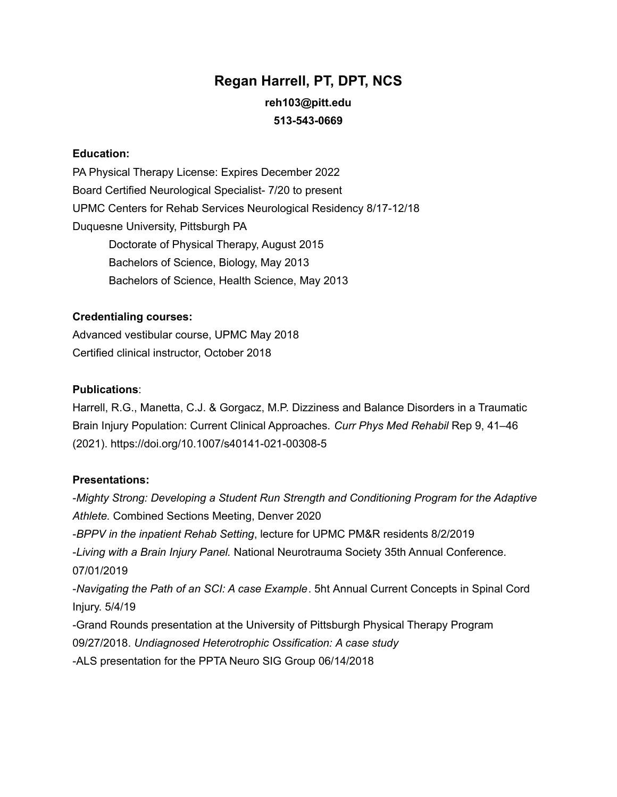## **Regan Harrell, PT, DPT, NCS reh103@pitt.edu 513-543-0669**

#### **Education:**

PA Physical Therapy License: Expires December 2022 Board Certified Neurological Specialist- 7/20 to present UPMC Centers for Rehab Services Neurological Residency 8/17-12/18 Duquesne University, Pittsburgh PA Doctorate of Physical Therapy, August 2015 Bachelors of Science, Biology, May 2013 Bachelors of Science, Health Science, May 2013

#### **Credentialing courses:**

Advanced vestibular course, UPMC May 2018 Certified clinical instructor, October 2018

#### **Publications**:

Harrell, R.G., Manetta, C.J. & Gorgacz, M.P. Dizziness and Balance Disorders in a Traumatic Brain Injury Population: Current Clinical Approaches. *Curr Phys Med Rehabil* Rep 9, 41–46 (2021). https://doi.org/10.1007/s40141-021-00308-5

#### **Presentations:**

-*Mighty Strong: Developing a Student Run Strength and Conditioning Program for the Adaptive Athlete.* Combined Sections Meeting, Denver 2020 -*BPPV in the inpatient Rehab Setting*, lecture for UPMC PM&R residents 8/2/2019 -*Living with a Brain Injury Panel.* National Neurotrauma Society 35th Annual Conference. 07/01/2019 -*Navigating the Path of an SCI: A case Example*. 5ht Annual Current Concepts in Spinal Cord Injury. 5/4/19 -Grand Rounds presentation at the University of Pittsburgh Physical Therapy Program 09/27/2018. *Undiagnosed Heterotrophic Ossification: A case study* -ALS presentation for the PPTA Neuro SIG Group 06/14/2018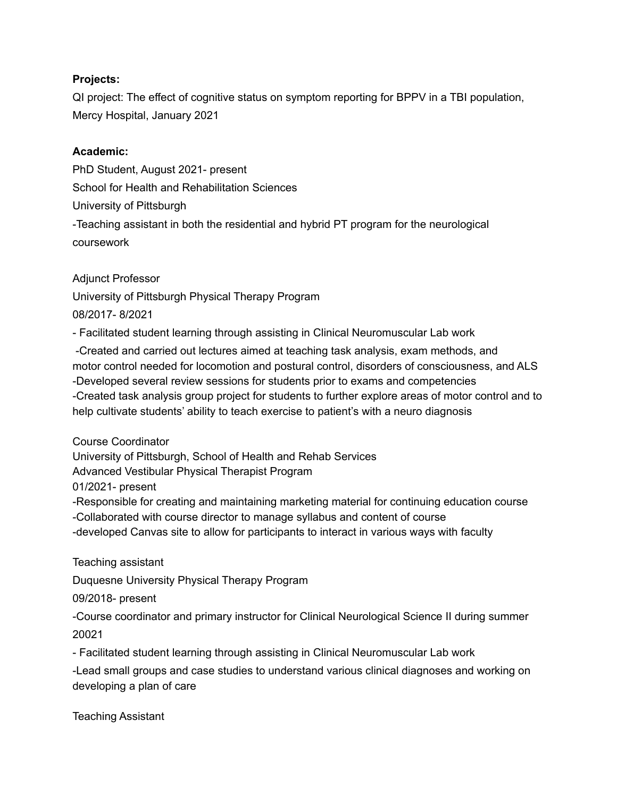#### **Projects:**

QI project: The effect of cognitive status on symptom reporting for BPPV in a TBI population, Mercy Hospital, January 2021

#### **Academic:**

PhD Student, August 2021- present School for Health and Rehabilitation Sciences University of Pittsburgh -Teaching assistant in both the residential and hybrid PT program for the neurological coursework

#### Adjunct Professor

University of Pittsburgh Physical Therapy Program 08/2017- 8/2021

- Facilitated student learning through assisting in Clinical Neuromuscular Lab work

-Created and carried out lectures aimed at teaching task analysis, exam methods, and motor control needed for locomotion and postural control, disorders of consciousness, and ALS -Developed several review sessions for students prior to exams and competencies -Created task analysis group project for students to further explore areas of motor control and to help cultivate students' ability to teach exercise to patient's with a neuro diagnosis

Course Coordinator

University of Pittsburgh, School of Health and Rehab Services

Advanced Vestibular Physical Therapist Program

01/2021- present

-Responsible for creating and maintaining marketing material for continuing education course

-Collaborated with course director to manage syllabus and content of course

-developed Canvas site to allow for participants to interact in various ways with faculty

Teaching assistant

Duquesne University Physical Therapy Program

09/2018- present

-Course coordinator and primary instructor for Clinical Neurological Science II during summer 20021

- Facilitated student learning through assisting in Clinical Neuromuscular Lab work

-Lead small groups and case studies to understand various clinical diagnoses and working on developing a plan of care

Teaching Assistant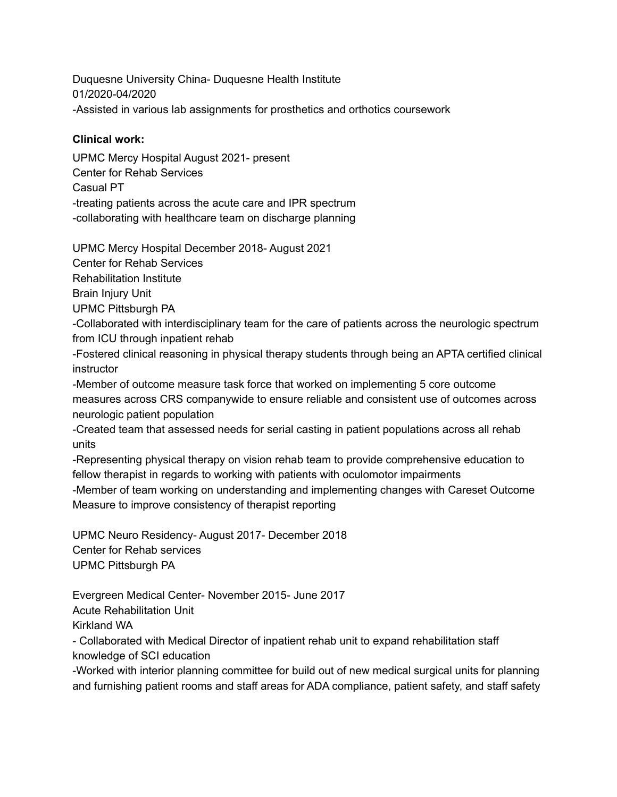Duquesne University China- Duquesne Health Institute 01/2020-04/2020 -Assisted in various lab assignments for prosthetics and orthotics coursework

#### **Clinical work:**

UPMC Mercy Hospital August 2021- present Center for Rehab Services Casual PT -treating patients across the acute care and IPR spectrum -collaborating with healthcare team on discharge planning

UPMC Mercy Hospital December 2018- August 2021

Center for Rehab Services

Rehabilitation Institute

Brain Injury Unit

UPMC Pittsburgh PA

-Collaborated with interdisciplinary team for the care of patients across the neurologic spectrum from ICU through inpatient rehab

-Fostered clinical reasoning in physical therapy students through being an APTA certified clinical instructor

-Member of outcome measure task force that worked on implementing 5 core outcome measures across CRS companywide to ensure reliable and consistent use of outcomes across neurologic patient population

-Created team that assessed needs for serial casting in patient populations across all rehab units

-Representing physical therapy on vision rehab team to provide comprehensive education to fellow therapist in regards to working with patients with oculomotor impairments

-Member of team working on understanding and implementing changes with Careset Outcome Measure to improve consistency of therapist reporting

UPMC Neuro Residency- August 2017- December 2018 Center for Rehab services UPMC Pittsburgh PA

Evergreen Medical Center- November 2015- June 2017 Acute Rehabilitation Unit

Kirkland WA

- Collaborated with Medical Director of inpatient rehab unit to expand rehabilitation staff knowledge of SCI education

-Worked with interior planning committee for build out of new medical surgical units for planning and furnishing patient rooms and staff areas for ADA compliance, patient safety, and staff safety